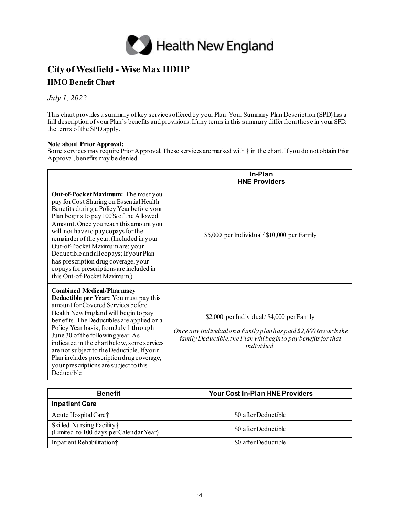

## **City of Westfield - Wise Max HDHP**

## **HMO Benefit Chart**

## *July 1, 2022*

This chart provides a summary of key services offered by your Plan. Your Summary Plan Description (SPD) has a full description of your Plan's benefits and provisions. If any terms in this summary differ from those in your SPD, the terms of the SPDapply.

## **Note about Prior Approval:**

Some services may require Prior Approval. These services are marked with † in the chart.If you do not obtain Prior Approval, benefits may be denied.

|                                                                                                                                                                                                                                                                                                                                                                                                                                                                                                       | In-Plan<br><b>HNE Providers</b>                                                                                                                                                                        |
|-------------------------------------------------------------------------------------------------------------------------------------------------------------------------------------------------------------------------------------------------------------------------------------------------------------------------------------------------------------------------------------------------------------------------------------------------------------------------------------------------------|--------------------------------------------------------------------------------------------------------------------------------------------------------------------------------------------------------|
| Out-of-Pocket Maximum: The most you<br>pay for Cost Sharing on Essential Health<br>Benefits during a Policy Year before your<br>Plan begins to pay 100% of the Allowed<br>Amount. Once you reach this amount you<br>will not have to pay copays for the<br>remainder of the year. (Included in your<br>Out-of-Pocket Maximum are: your<br>Deductible and all copays; If your Plan<br>has prescription drug coverage, your<br>copays for prescriptions are included in<br>this Out-of-Pocket Maximum.) | \$5,000 per Individual/\$10,000 per Family                                                                                                                                                             |
| <b>Combined Medical/Pharmacy</b><br>Deductible per Year: You must pay this<br>amount for Covered Services before<br>Health New England will begin to pay<br>benefits. The Deductibles are applied on a<br>Policy Year basis, from July 1 through<br>June 30 of the following year. As<br>indicated in the chart below, some services<br>are not subject to the Deductible. If your<br>Plan includes prescription drug coverage,<br>your prescriptions are subject to this<br>Deductible               | \$2,000 per Individual/\$4,000 per Family<br>Once any individual on a family plan has paid \$2,800 towards the<br>family Deductible, the Plan will begin to pay benefits for that<br><i>individual</i> |

| <b>Benefit</b>                                                       | <b>Your Cost In-Plan HNE Providers</b> |
|----------------------------------------------------------------------|----------------------------------------|
| <b>Inpatient Care</b>                                                |                                        |
| Acute Hospital Care†                                                 | \$0 after Deductible                   |
| Skilled Nursing Facility†<br>(Limited to 100 days per Calendar Year) | \$0 after Deductible                   |
| Inpatient Rehabilitation†                                            | \$0 after Deductible                   |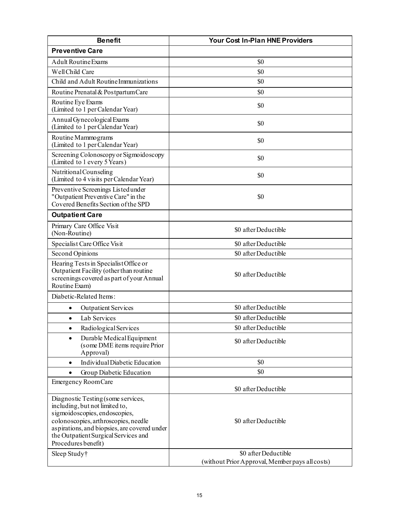| <b>Benefit</b>                                                                                                                                                                                                                                               | <b>Your Cost In-Plan HNE Providers</b>          |
|--------------------------------------------------------------------------------------------------------------------------------------------------------------------------------------------------------------------------------------------------------------|-------------------------------------------------|
| <b>Preventive Care</b>                                                                                                                                                                                                                                       |                                                 |
| <b>Adult Routine Exams</b>                                                                                                                                                                                                                                   | \$0                                             |
| Well Child Care                                                                                                                                                                                                                                              | \$0                                             |
| Child and Adult Routine Immunizations                                                                                                                                                                                                                        | \$0                                             |
| Routine Prenatal & Postpartum Care                                                                                                                                                                                                                           | \$0                                             |
| Routine Eye Exams<br>(Limited to 1 per Calendar Year)                                                                                                                                                                                                        | \$0                                             |
| Annual Gynecological Exams<br>(Limited to 1 per Calendar Year)                                                                                                                                                                                               | \$0                                             |
| Routine Mammograms<br>(Limited to 1 per Calendar Year)                                                                                                                                                                                                       | \$0                                             |
| Screening Colonoscopy or Sigmoidoscopy<br>(Limited to 1 every 5 Years)                                                                                                                                                                                       | \$0                                             |
| Nutritional Counseling<br>(Limited to 4 visits per Calendar Year)                                                                                                                                                                                            | \$0                                             |
| Preventive Screenings Listed under<br>"Outpatient Preventive Care" in the<br>Covered Benefits Section of the SPD                                                                                                                                             | \$0                                             |
| <b>Outpatient Care</b>                                                                                                                                                                                                                                       |                                                 |
| Primary Care Office Visit<br>(Non-Routine)                                                                                                                                                                                                                   | \$0 after Deductible                            |
| Specialist Care Office Visit                                                                                                                                                                                                                                 | \$0 after Deductible                            |
| Second Opinions                                                                                                                                                                                                                                              | \$0 after Deductible                            |
| Hearing Tests in Specialist Office or<br>Outpatient Facility (other than routine<br>screenings covered as part of your Annual<br>Routine Exam)                                                                                                               | \$0 after Deductible                            |
| Diabetic-Related Items:                                                                                                                                                                                                                                      |                                                 |
| <b>Outpatient Services</b><br>$\bullet$                                                                                                                                                                                                                      | \$0 after Deductible                            |
| Lab Services<br>$\bullet$                                                                                                                                                                                                                                    | \$0 after Deductible                            |
| Radiological Services<br>٠                                                                                                                                                                                                                                   | \$0 after Deductible                            |
| Durable Medical Equipment<br>$\bullet$<br>(some DME items require Prior<br>Approval)                                                                                                                                                                         | \$0 after Deductible                            |
| Individual Diabetic Education<br>$\bullet$                                                                                                                                                                                                                   | \$0                                             |
| Group Diabetic Education<br>$\bullet$                                                                                                                                                                                                                        | \$0                                             |
| <b>Emergency Room Care</b>                                                                                                                                                                                                                                   | \$0 after Deductible                            |
| Diagnostic Testing (some services,<br>including, but not limited to,<br>sigmoidoscopies, endoscopies,<br>colonoscopies, arthroscopies, needle<br>aspirations, and biopsies, are covered under<br>the Outpatient Surgical Services and<br>Procedures benefit) | \$0 after Deductible                            |
| Sleep Study†                                                                                                                                                                                                                                                 | \$0 after Deductible                            |
|                                                                                                                                                                                                                                                              | (without Prior Approval, Member pays all costs) |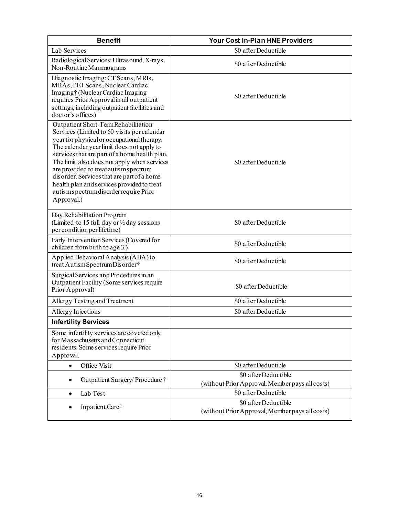| <b>Benefit</b>                                                                                                                                                                                                                                                                                                                                                                                                                                                           | <b>Your Cost In-Plan HNE Providers</b>                                  |
|--------------------------------------------------------------------------------------------------------------------------------------------------------------------------------------------------------------------------------------------------------------------------------------------------------------------------------------------------------------------------------------------------------------------------------------------------------------------------|-------------------------------------------------------------------------|
| Lab Services                                                                                                                                                                                                                                                                                                                                                                                                                                                             | \$0 after Deductible                                                    |
| Radiological Services: Ultrasound, X-rays,<br>Non-Routine Mammograms                                                                                                                                                                                                                                                                                                                                                                                                     | \$0 after Deductible                                                    |
| Diagnostic Imaging: CT Scans, MRIs,<br>MRAs, PET Scans, Nuclear Cardiac<br>Imaging†(Nuclear Cardiac Imaging<br>requires Prior Approval in all outpatient<br>settings, including outpatient facilities and<br>doctor's offices)                                                                                                                                                                                                                                           | \$0 after Deductible                                                    |
| Outpatient Short-Term Rehabilitation<br>Services (Limited to 60 visits per calendar<br>year for physical or occupational therapy.<br>The calendar year limit does not apply to<br>services that are part of a home health plan.<br>The limit also does not apply when services<br>are provided to treat autismspectrum<br>disorder. Services that are part of a home<br>health plan and services provided to treat<br>autismspectrumdisorder require Prior<br>Approval.) | \$0 after Deductible                                                    |
| Day Rehabilitation Program<br>(Limited to 15 full day or $\frac{1}{2}$ day sessions<br>per condition per lifetime)                                                                                                                                                                                                                                                                                                                                                       | \$0 after Deductible                                                    |
| Early Intervention Services (Covered for<br>children from birth to age 3.)                                                                                                                                                                                                                                                                                                                                                                                               | \$0 after Deductible                                                    |
| Applied Behavioral Analysis (ABA) to<br>treat Autism Spectrum Disorder†                                                                                                                                                                                                                                                                                                                                                                                                  | \$0 after Deductible                                                    |
| Surgical Services and Procedures in an<br>Outpatient Facility (Some services require<br>Prior Approval)                                                                                                                                                                                                                                                                                                                                                                  | \$0 after Deductible                                                    |
| Allergy Testing and Treatment                                                                                                                                                                                                                                                                                                                                                                                                                                            | \$0 after Deductible                                                    |
| Allergy Injections                                                                                                                                                                                                                                                                                                                                                                                                                                                       | \$0 after Deductible                                                    |
| <b>Infertility Services</b>                                                                                                                                                                                                                                                                                                                                                                                                                                              |                                                                         |
| Some infertility services are covered only<br>for Massachusetts and Connecticut<br>residents. Some services require Prior<br>Approval.                                                                                                                                                                                                                                                                                                                                   |                                                                         |
| Office Visit<br>$\bullet$                                                                                                                                                                                                                                                                                                                                                                                                                                                | \$0 after Deductible                                                    |
| Outpatient Surgery/Procedure †                                                                                                                                                                                                                                                                                                                                                                                                                                           | \$0 after Deductible<br>(without Prior Approval, Member pays all costs) |
| Lab Test<br>$\bullet$                                                                                                                                                                                                                                                                                                                                                                                                                                                    | \$0 after Deductible                                                    |
| Inpatient Care†                                                                                                                                                                                                                                                                                                                                                                                                                                                          | \$0 after Deductible<br>(without Prior Approval, Member pays all costs) |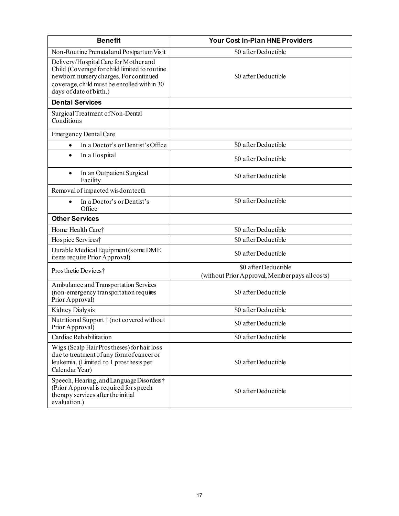| <b>Benefit</b>                                                                                                                                                                                           | <b>Your Cost In-Plan HNE Providers</b>                                  |
|----------------------------------------------------------------------------------------------------------------------------------------------------------------------------------------------------------|-------------------------------------------------------------------------|
| Non-Routine Prenatal and Postpartum Visit                                                                                                                                                                | \$0 after Deductible                                                    |
| Delivery/Hospital Care for Mother and<br>Child (Coverage for child limited to routine<br>newborn nursery charges. For continued<br>coverage, child must be enrolled within 30<br>days of date of birth.) | \$0 after Deductible                                                    |
| <b>Dental Services</b>                                                                                                                                                                                   |                                                                         |
| Surgical Treatment of Non-Dental<br>Conditions                                                                                                                                                           |                                                                         |
| <b>Emergency Dental Care</b>                                                                                                                                                                             |                                                                         |
| In a Doctor's or Dentist's Office<br>$\bullet$                                                                                                                                                           | \$0 after Deductible                                                    |
| In a Hospital<br>$\bullet$                                                                                                                                                                               | \$0 after Deductible                                                    |
| In an Outpatient Surgical<br>$\bullet$<br>Facility                                                                                                                                                       | \$0 after Deductible                                                    |
| Removal of impacted wisdom teeth                                                                                                                                                                         |                                                                         |
| In a Doctor's or Dentist's<br>$\bullet$<br>Office                                                                                                                                                        | \$0 after Deductible                                                    |
| <b>Other Services</b>                                                                                                                                                                                    |                                                                         |
| Home Health Care†                                                                                                                                                                                        | \$0 after Deductible                                                    |
| Hospice Services†                                                                                                                                                                                        | \$0 after Deductible                                                    |
| Durable Medical Equipment (some DME<br>items require Prior Approval)                                                                                                                                     | \$0 after Deductible                                                    |
| Prosthetic Devices†                                                                                                                                                                                      | \$0 after Deductible<br>(without Prior Approval, Member pays all costs) |
| Ambulance and Transportation Services<br>(non-emergency transportation requires<br>Prior Approval)                                                                                                       | \$0 after Deductible                                                    |
| Kidney Dialysis                                                                                                                                                                                          | \$0 after Deductible                                                    |
| Nutritional Support † (not covered without<br>Prior Approval)                                                                                                                                            | \$0 after Deductible                                                    |
| Cardiac Rehabilitation                                                                                                                                                                                   | \$0 after Deductible                                                    |
| Wigs (Scalp Hair Prostheses) for hair loss<br>due to treatment of any form of cancer or<br>leukemia. (Limited to 1 prosthesis per<br>Calendar Year)                                                      | \$0 after Deductible                                                    |
| Speech, Hearing, and Language Disorders†<br>(Prior Approval is required for speech<br>therapy services after the initial<br>evaluation.)                                                                 | \$0 after Deductible                                                    |